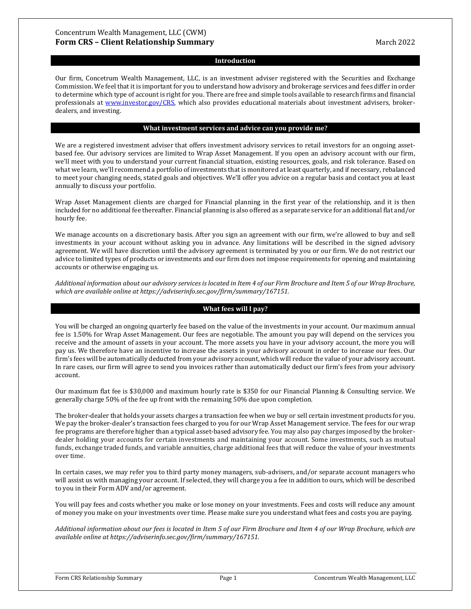#### **Introduction**

Our firm, Concetrum Wealth Management, LLC, is an investment adviser registered with the Securities and Exchange Commission. We feel that it is important for you to understand how advisory and brokerage services and fees differ in order to determine which type of account is right for you. There are free and simple tools available to research firms and financial professionals at [www.investor.gov/CRS,](http://www.investor.gov/CRS) which also provides educational materials about investment advisers, brokerdealers, and investing.

#### **What investment services and advice can you provide me?**

We are a registered investment adviser that offers investment advisory services to retail investors for an ongoing assetbased fee. Our advisory services are limited to Wrap Asset Management. If you open an advisory account with our firm, we'll meet with you to understand your current financial situation, existing resources, goals, and risk tolerance. Based on what we learn, we'll recommend a portfolio of investments that is monitored at least quarterly, and if necessary, rebalanced to meet your changing needs, stated goals and objectives. We'll offer you advice on a regular basis and contact you at least annually to discuss your portfolio.

Wrap Asset Management clients are charged for Financial planning in the first year of the relationship, and it is then included for no additional fee thereafter. Financial planning is also offered as a separate service for an additional flat and/or hourly fee.

We manage accounts on a discretionary basis. After you sign an agreement with our firm, we're allowed to buy and sell investments in your account without asking you in advance. Any limitations will be described in the signed advisory agreement. We will have discretion until the advisory agreement is terminated by you or our firm. We do not restrict our advice to limited types of products or investments and our firm does not impose requirements for opening and maintaining accounts or otherwise engaging us.

*Additional information about our advisory services is located in Item 4 of our Firm Brochure and Item 5 of our Wrap Brochure, which are available online at https://adviserinfo.sec.gov/firm/summary/167151.*

# **What fees will I pay?**

You will be charged an ongoing quarterly fee based on the value of the investments in your account. Our maximum annual fee is 1.50% for Wrap Asset Management. Our fees are negotiable. The amount you pay will depend on the services you receive and the amount of assets in your account. The more assets you have in your advisory account, the more you will pay us. We therefore have an incentive to increase the assets in your advisory account in order to increase our fees. Our firm's fees will be automatically deducted from your advisory account, which will reduce the value of your advisory account. In rare cases, our firm will agree to send you invoices rather than automatically deduct our firm's fees from your advisory account.

Our maximum flat fee is \$30,000 and maximum hourly rate is \$350 for our Financial Planning & Consulting service. We generally charge 50% of the fee up front with the remaining 50% due upon completion.

The broker-dealer that holds your assets charges a transaction fee when we buy or sell certain investment products for you. We pay the broker-dealer's transaction fees charged to you for our Wrap Asset Management service. The fees for our wrap fee programs are therefore higher than a typical asset-based advisory fee. You may also pay charges imposed by the brokerdealer holding your accounts for certain investments and maintaining your account. Some investments, such as mutual funds, exchange traded funds, and variable annuities, charge additional fees that will reduce the value of your investments over time.

In certain cases, we may refer you to third party money managers, sub-advisers, and/or separate account managers who will assist us with managing your account. If selected, they will charge you a fee in addition to ours, which will be described to you in their Form ADV and/or agreement.

You will pay fees and costs whether you make or lose money on your investments. Fees and costs will reduce any amount of money you make on your investments over time. Please make sure you understand what fees and costs you are paying.

*Additional information about our fees is located in Item 5 of our Firm Brochure and Item 4 of our Wrap Brochure, which are available online at https://adviserinfo.sec.gov/firm/summary/167151.*